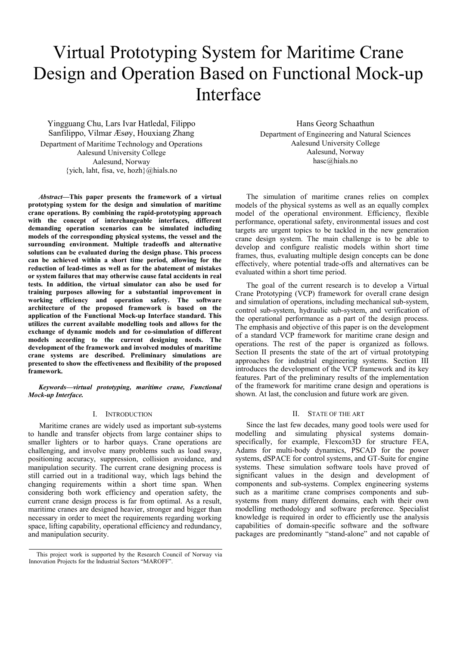# Virtual Prototyping System for Maritime Crane Design and Operation Based on Functional Mock-up Interface

Yingguang Chu, Lars Ivar Hatledal, Filippo Sanfilippo, Vilmar Æsøy, Houxiang Zhang Department of Maritime Technology and Operations Aalesund University College Aalesund, Norway {yich, laht, fisa, ve, hozh}@hials.no

*Abstract***—This paper presents the framework of a virtual prototyping system for the design and simulation of maritime crane operations. By combining the rapid-prototyping approach with the concept of interchangeable interfaces, different demanding operation scenarios can be simulated including models of the corresponding physical systems, the vessel and the surrounding environment. Multiple tradeoffs and alternative solutions can be evaluated during the design phase. This process can be achieved within a short time period, allowing for the reduction of lead-times as well as for the abatement of mistakes or system failures that may otherwise cause fatal accidents in real tests. In addition, the virtual simulator can also be used for training purposes allowing for a substantial improvement in working efficiency and operation safety. The software architecture of the proposed framework is based on the application of the Functional Mock-up Interface standard. This utilizes the current available modelling tools and allows for the exchange of dynamic models and for co-simulation of different models according to the current designing needs. The development of the framework and involved modules of maritime crane systems are described. Preliminary simulations are presented to show the effectiveness and flexibility of the proposed framework.** 

*Keywords—virtual prototyping, maritime crane, Functional Mock-up Interface.* 

#### I. INTRODUCTION

Maritime cranes are widely used as important sub-systems to handle and transfer objects from large container ships to smaller lighters or to harbor quays. Crane operations are challenging, and involve many problems such as load sway, positioning accuracy, suppression, collision avoidance, and manipulation security. The current crane designing process is still carried out in a traditional way, which lags behind the changing requirements within a short time span. When considering both work efficiency and operation safety, the current crane design process is far from optimal. As a result, maritime cranes are designed heavier, stronger and bigger than necessary in order to meet the requirements regarding working space, lifting capability, operational efficiency and redundancy, and manipulation security.

Hans Georg Schaathun Department of Engineering and Natural Sciences Aalesund University College Aalesund, Norway hasc@hials.no

The simulation of maritime cranes relies on complex models of the physical systems as well as an equally complex model of the operational environment. Efficiency, flexible performance, operational safety, environmental issues and cost targets are urgent topics to be tackled in the new generation crane design system. The main challenge is to be able to develop and configure realistic models within short time frames, thus, evaluating multiple design concepts can be done effectively, where potential trade-offs and alternatives can be evaluated within a short time period.

The goal of the current research is to develop a Virtual Crane Prototyping (VCP) framework for overall crane design and simulation of operations, including mechanical sub-system, control sub-system, hydraulic sub-system, and verification of the operational performance as a part of the design process. The emphasis and objective of this paper is on the development of a standard VCP framework for maritime crane design and operations. The rest of the paper is organized as follows. Section II presents the state of the art of virtual prototyping approaches for industrial engineering systems. Section III introduces the development of the VCP framework and its key features. Part of the preliminary results of the implementation of the framework for maritime crane design and operations is shown. At last, the conclusion and future work are given.

## II. STATE OF THE ART

Since the last few decades, many good tools were used for modelling and simulating physical systems domainspecifically, for example, Flexcom3D for structure FEA, Adams for multi-body dynamics, PSCAD for the power systems, dSPACE for control systems, and GT-Suite for engine systems. These simulation software tools have proved of significant values in the design and development of components and sub-systems. Complex engineering systems such as a maritime crane comprises components and subsystems from many different domains, each with their own modelling methodology and software preference. Specialist knowledge is required in order to efficiently use the analysis capabilities of domain-specific software and the software packages are predominantly "stand-alone" and not capable of

This project work is supported by the Research Council of Norway via Innovation Projects for the Industrial Sectors "MAROFF".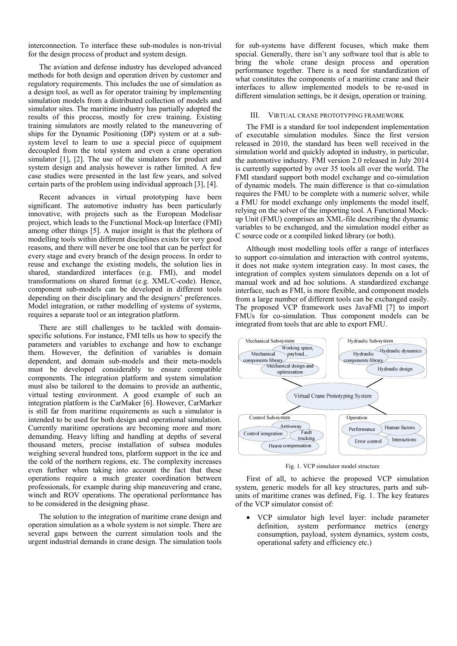interconnection. To interface these sub-modules is non-trivial for the design process of product and system design.

The aviation and defense industry has developed advanced methods for both design and operation driven by customer and regulatory requirements. This includes the use of simulation as a design tool, as well as for operator training by implementing simulation models from a distributed collection of models and simulator sites. The maritime industry has partially adopted the results of this process, mostly for crew training. Existing training simulators are mostly related to the maneuvering of ships for the Dynamic Positioning (DP) system or at a subsystem level to learn to use a special piece of equipment decoupled from the total system and even a crane operation simulator [1], [2]. The use of the simulators for product and system design and analysis however is rather limited. A few case studies were presented in the last few years, and solved certain parts of the problem using individual approach [3], [4].

Recent advances in virtual prototyping have been significant. The automotive industry has been particularly innovative, with projects such as the European Modelisar project, which leads to the Functional Mock-up Interface (FMI) among other things [5]. A major insight is that the plethora of modelling tools within different disciplines exists for very good reasons, and there will never be one tool that can be perfect for every stage and every branch of the design process. In order to reuse and exchange the existing models, the solution lies in shared, standardized interfaces (e.g. FMI), and model transformations on shared format (e.g. XML/C-code). Hence, component sub-models can be developed in different tools depending on their disciplinary and the designers' preferences. Model integration, or rather modelling of systems of systems, requires a separate tool or an integration platform.

There are still challenges to be tackled with domainspecific solutions. For instance, FMI tells us how to specify the parameters and variables to exchange and how to exchange them. However, the definition of variables is domain dependent, and domain sub-models and their meta-models must be developed considerably to ensure compatible components. The integration platform and system simulation must also be tailored to the domains to provide an authentic, virtual testing environment. A good example of such an integration platform is the CarMaker [6]. However, CarMarker is still far from maritime requirements as such a simulator is intended to be used for both design and operational simulation. Currently maritime operations are becoming more and more demanding. Heavy lifting and handling at depths of several thousand meters, precise installation of subsea modules weighing several hundred tons, platform support in the ice and the cold of the northern regions, etc. The complexity increases even further when taking into account the fact that these operations require a much greater coordination between professionals, for example during ship maneuvering and crane, winch and ROV operations. The operational performance has to be considered in the designing phase.

The solution to the integration of maritime crane design and operation simulation as a whole system is not simple. There are several gaps between the current simulation tools and the urgent industrial demands in crane design. The simulation tools for sub-systems have different focuses, which make them special. Generally, there isn't any software tool that is able to bring the whole crane design process and operation performance together. There is a need for standardization of what constitutes the components of a maritime crane and their interfaces to allow implemented models to be re-used in different simulation settings, be it design, operation or training.

#### III. VIRTUAL CRANE PROTOTYPING FRAMEWORK

The FMI is a standard for tool independent implementation of executable simulation modules. Since the first version released in 2010, the standard has been well received in the simulation world and quickly adopted in industry, in particular, the automotive industry. FMI version 2.0 released in July 2014 is currently supported by over 35 tools all over the world. The FMI standard support both model exchange and co-simulation of dynamic models. The main difference is that co-simulation requires the FMU to be complete with a numeric solver, while a FMU for model exchange only implements the model itself, relying on the solver of the importing tool. A Functional Mockup Unit (FMU) comprises an XML-file describing the dynamic variables to be exchanged, and the simulation model either as C source code or a compiled linked library (or both).

Although most modelling tools offer a range of interfaces to support co-simulation and interaction with control systems, it does not make system integration easy. In most cases, the integration of complex system simulators depends on a lot of manual work and ad hoc solutions. A standardized exchange interface, such as FMI, is more flexible, and component models from a large number of different tools can be exchanged easily. The proposed VCP framework uses JavaFMI [7] to import FMUs for co-simulation. Thus component models can be integrated from tools that are able to export FMU.



Fig. 1. VCP simulator model structure

First of all, to achieve the proposed VCP simulation system, generic models for all key structures, parts and subunits of maritime cranes was defined, Fig. 1. The key features of the VCP simulator consist of:

• VCP simulator high level layer: include parameter definition, system performance metrics (energy consumption, payload, system dynamics, system costs, operational safety and efficiency etc.)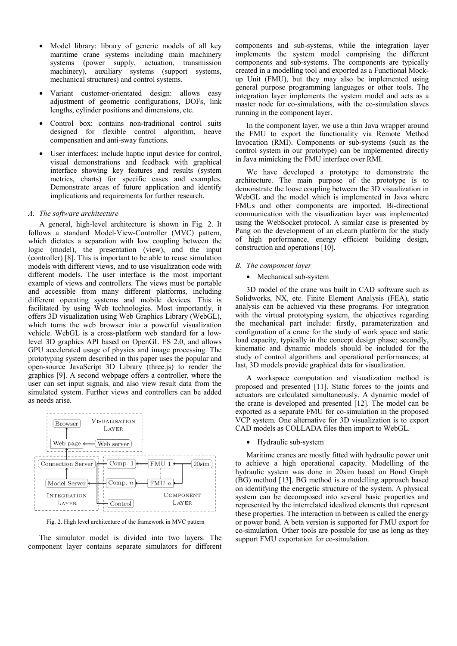- Model library: library of generic models of all key maritime crane systems including main machinery systems (power supply, actuation, transmission machinery), auxiliary systems (support systems, mechanical structures) and control systems.
- Variant customer-orientated design: allows easy adjustment of geometric configurations, DOFs, link lengths, cylinder positions and dimensions, etc.
- Control box: contains non-traditional control suits designed for flexible control algorithm, heave compensation and anti-sway functions.
- User interfaces: include haptic input device for control, visual demonstrations and feedback with graphical interface showing key features and results (system metrics, charts) for specific cases and examples. Demonstrate areas of future application and identify implications and requirements for further research.

## *A. The software architecture*

A general, high-level architecture is shown in Fig. 2. It follows a standard Model-View-Controller (MVC) pattern, which dictates a separation with low coupling between the logic (model), the presentation (view), and the input (controller) [8]. This is important to be able to reuse simulation models with different views, and to use visualization code with different models. The user interface is the most important example of views and controllers. The views must be portable and accessible from many different platforms, including different operating systems and mobile devices. This is facilitated by using Web technologies. Most importantly, it offers 3D visualization using Web Graphics Library (WebGL), which turns the web browser into a powerful visualization vehicle. WebGL is a cross-platform web standard for a lowlevel 3D graphics API based on OpenGL ES 2.0, and allows GPU accelerated usage of physics and image processing. The prototyping system described in this paper uses the popular and open-source JavaScript 3D Library (three.js) to render the graphics [9]. A second webpage offers a controller, where the user can set input signals, and also view result data from the simulated system. Further views and controllers can be added as needs arise.



Fig. 2. High level architecture of the framework in MVC pattern

The simulator model is divided into two layers. The component layer contains separate simulators for different components and sub-systems, while the integration layer implements the system model comprising the different components and sub-systems. The components are typically created in a modelling tool and exported as a Functional Mockup Unit (FMU), but they may also be implemented using general purpose programming languages or other tools. The integration layer implements the system model and acts as a master node for co-simulations, with the co-simulation slaves running in the component layer.

In the component layer, we use a thin Java wrapper around the FMU to export the functionality via Remote Method Invocation (RMI). Components or sub-systems (such as the control system in our prototype) can be implemented directly in Java mimicking the FMU interface over RMI.

We have developed a prototype to demonstrate the architecture. The main purpose of the prototype is to demonstrate the loose coupling between the 3D visualization in WebGL and the model which is implemented in Java where FMUs and other components are imported. Bi-directional communication with the visualization layer was implemented using the WebSocket protocol. A similar case is presented by Pang on the development of an eLearn platform for the study of high performance, energy efficient building design, construction and operations [10].

## *B. The component layer*

## • Mechanical sub-system

3D model of the crane was built in CAD software such as Solidworks, NX, etc. Finite Element Analysis (FEA), static analysis can be achieved via these programs. For integration with the virtual prototyping system, the objectives regarding the mechanical part include: firstly, parameterization and configuration of a crane for the study of work space and static load capacity, typically in the concept design phase; secondly, kinematic and dynamic models should be included for the study of control algorithms and operational performances; at last, 3D models provide graphical data for visualization.

A workspace computation and visualization method is proposed and presented [11]. Static forces to the joints and actuators are calculated simultaneously. A dynamic model of the crane is developed and presented [12]. The model can be exported as a separate FMU for co-simulation in the proposed VCP system. One alternative for 3D visualization is to export CAD models as COLLADA files then import to WebGL.

• Hydraulic sub-system

Maritime cranes are mostly fitted with hydraulic power unit to achieve a high operational capacity. Modelling of the hydraulic system was done in 20sim based on Bond Graph (BG) method [13]. BG method is a modelling approach based on identifying the energetic structure of the system. A physical system can be decomposed into several basic properties and represented by the interrelated idealized elements that represent these properties. The interaction in between is called the energy or power bond. A beta version is supported for FMU export for co-simulation. Other tools are possible for use as long as they support FMU exportation for co-simulation.